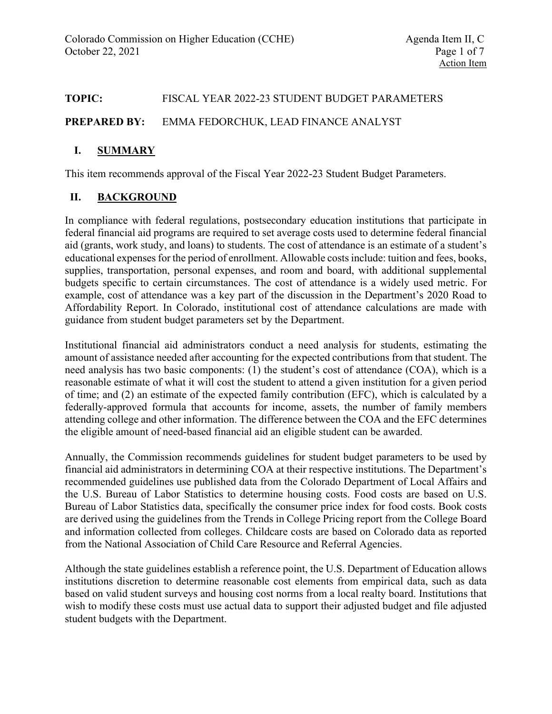## **TOPIC:** FISCAL YEAR 2022-23 STUDENT BUDGET PARAMETERS

#### **PREPARED BY:** EMMA FEDORCHUK, LEAD FINANCE ANALYST

# **I. SUMMARY**

This item recommends approval of the Fiscal Year 2022-23 Student Budget Parameters.

## **II. BACKGROUND**

In compliance with federal regulations, postsecondary education institutions that participate in federal financial aid programs are required to set average costs used to determine federal financial aid (grants, work study, and loans) to students. The cost of attendance is an estimate of a student's educational expenses for the period of enrollment. Allowable costs include: tuition and fees, books, supplies, transportation, personal expenses, and room and board, with additional supplemental budgets specific to certain circumstances. The cost of attendance is a widely used metric. For example, cost of attendance was a key part of the discussion in the Department's 2020 Road to Affordability Report. In Colorado, institutional cost of attendance calculations are made with guidance from student budget parameters set by the Department.

Institutional financial aid administrators conduct a need analysis for students, estimating the amount of assistance needed after accounting for the expected contributions from that student. The need analysis has two basic components: (1) the student's cost of attendance (COA), which is a reasonable estimate of what it will cost the student to attend a given institution for a given period of time; and (2) an estimate of the expected family contribution (EFC), which is calculated by a federally-approved formula that accounts for income, assets, the number of family members attending college and other information. The difference between the COA and the EFC determines the eligible amount of need-based financial aid an eligible student can be awarded.

Annually, the Commission recommends guidelines for student budget parameters to be used by financial aid administrators in determining COA at their respective institutions. The Department's recommended guidelines use published data from the Colorado Department of Local Affairs and the U.S. Bureau of Labor Statistics to determine housing costs. Food costs are based on U.S. Bureau of Labor Statistics data, specifically the consumer price index for food costs. Book costs are derived using the guidelines from the Trends in College Pricing report from the College Board and information collected from colleges. Childcare costs are based on Colorado data as reported from the National Association of Child Care Resource and Referral Agencies.

Although the state guidelines establish a reference point, the U.S. Department of Education allows institutions discretion to determine reasonable cost elements from empirical data, such as data based on valid student surveys and housing cost norms from a local realty board. Institutions that wish to modify these costs must use actual data to support their adjusted budget and file adjusted student budgets with the Department.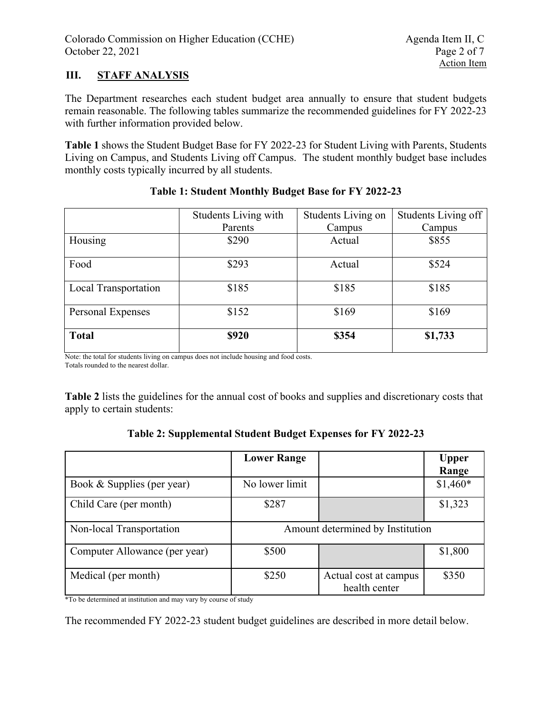# **III. STAFF ANALYSIS**

The Department researches each student budget area annually to ensure that student budgets remain reasonable. The following tables summarize the recommended guidelines for FY 2022-23 with further information provided below.

**Table 1** shows the Student Budget Base for FY 2022-23 for Student Living with Parents, Students Living on Campus, and Students Living off Campus. The student monthly budget base includes monthly costs typically incurred by all students.

|                      | Students Living with | Students Living on | Students Living off |  |
|----------------------|----------------------|--------------------|---------------------|--|
|                      | Parents              | Campus             | Campus              |  |
| Housing              | \$290                | Actual             | \$855               |  |
| Food                 | \$293                | Actual             | \$524               |  |
| Local Transportation | \$185                | \$185              | \$185               |  |
| Personal Expenses    | \$152                | \$169              | \$169               |  |
| <b>Total</b>         | \$920                | \$354              | \$1,733             |  |

## **Table 1: Student Monthly Budget Base for FY 2022-23**

Note: the total for students living on campus does not include housing and food costs.

Totals rounded to the nearest dollar.

**Table 2** lists the guidelines for the annual cost of books and supplies and discretionary costs that apply to certain students:

| Table 2: Supplemental Student Budget Expenses for FY 2022-23 |  |  |  |
|--------------------------------------------------------------|--|--|--|
|                                                              |  |  |  |

|                               | <b>Lower Range</b>               |                                        | <b>Upper</b><br>Range |  |
|-------------------------------|----------------------------------|----------------------------------------|-----------------------|--|
| Book & Supplies (per year)    | No lower limit                   |                                        | $$1,460*$             |  |
| Child Care (per month)        | \$287                            |                                        | \$1,323               |  |
| Non-local Transportation      | Amount determined by Institution |                                        |                       |  |
| Computer Allowance (per year) | \$500                            |                                        | \$1,800               |  |
| Medical (per month)           | \$250                            | Actual cost at campus<br>health center | \$350                 |  |

\*To be determined at institution and may vary by course of study

The recommended FY 2022-23 student budget guidelines are described in more detail below.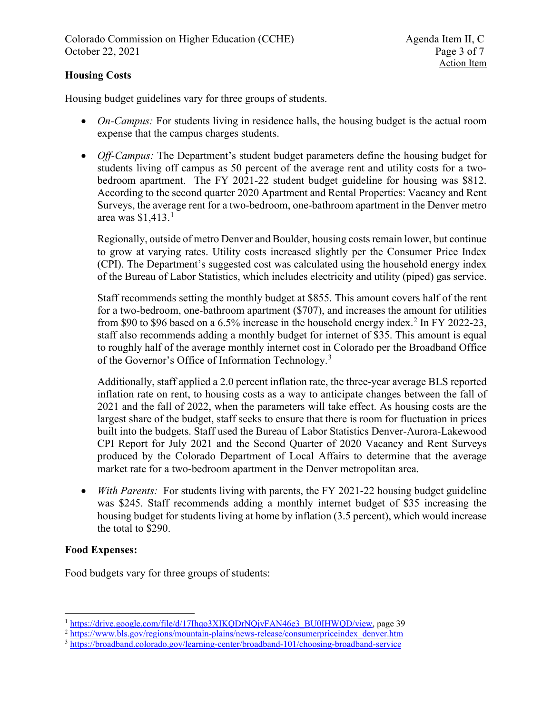# **Housing Costs**

Housing budget guidelines vary for three groups of students.

- *On-Campus:* For students living in residence halls, the housing budget is the actual room expense that the campus charges students.
- *Off-Campus:* The Department's student budget parameters define the housing budget for students living off campus as 50 percent of the average rent and utility costs for a twobedroom apartment. The FY 2021-22 student budget guideline for housing was \$812. According to the second quarter 2020 Apartment and Rental Properties: Vacancy and Rent Surveys, the average rent for a two-bedroom, one-bathroom apartment in the Denver metro area was \$1,413. [1](#page-2-0)

Regionally, outside of metro Denver and Boulder, housing costs remain lower, but continue to grow at varying rates. Utility costs increased slightly per the Consumer Price Index (CPI). The Department's suggested cost was calculated using the household energy index of the Bureau of Labor Statistics, which includes electricity and utility (piped) gas service.

Staff recommends setting the monthly budget at \$855. This amount covers half of the rent for a two-bedroom, one-bathroom apartment (\$707), and increases the amount for utilities from \$90 to \$96 based on a 6.5% increase in the household energy index.<sup>[2](#page-2-1)</sup> In FY 2022-23, staff also recommends adding a monthly budget for internet of \$35. This amount is equal to roughly half of the average monthly internet cost in Colorado per the Broadband Office of the Governor's Office of Information Technology.<sup>[3](#page-2-2)</sup>

Additionally, staff applied a 2.0 percent inflation rate, the three-year average BLS reported inflation rate on rent, to housing costs as a way to anticipate changes between the fall of 2021 and the fall of 2022, when the parameters will take effect. As housing costs are the largest share of the budget, staff seeks to ensure that there is room for fluctuation in prices built into the budgets. Staff used the Bureau of Labor Statistics Denver-Aurora-Lakewood CPI Report for July 2021 and the Second Quarter of 2020 Vacancy and Rent Surveys produced by the Colorado Department of Local Affairs to determine that the average market rate for a two-bedroom apartment in the Denver metropolitan area.

• *With Parents:* For students living with parents, the FY 2021-22 housing budget guideline was \$245. Staff recommends adding a monthly internet budget of \$35 increasing the housing budget for students living at home by inflation (3.5 percent), which would increase the total to \$290.

# **Food Expenses:**

Food budgets vary for three groups of students:

<span id="page-2-1"></span><span id="page-2-0"></span><sup>&</sup>lt;sup>1</sup> [https://drive.google.com/file/d/17Ihqo3XIKQDrNQjyFAN46e3\\_BU0IHWQD/view,](https://drive.google.com/file/d/17Ihqo3XIKQDrNQjyFAN46e3_BU0IHWQD/view) page 39 <sup>2</sup> [https://www.bls.gov/regions/mountain-plains/news-release/consumerpriceindex\\_denver.htm](https://www.bls.gov/regions/mountain-plains/news-release/consumerpriceindex_denver.htm)

<span id="page-2-2"></span><sup>3</sup> <https://broadband.colorado.gov/learning-center/broadband-101/choosing-broadband-service>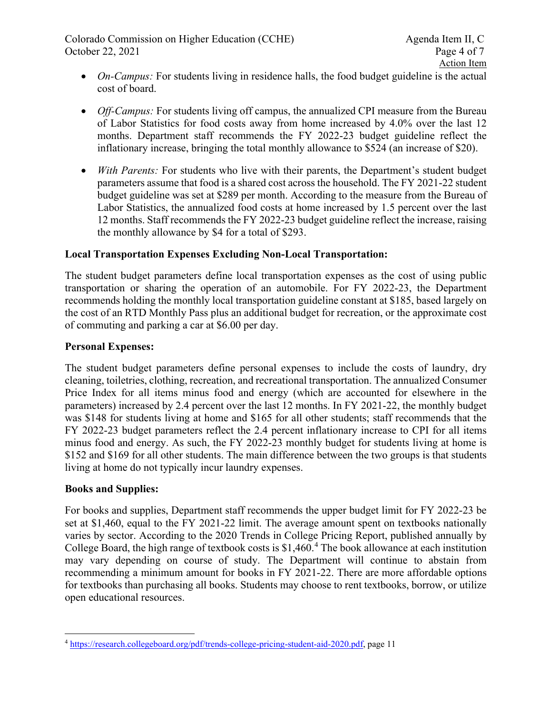Colorado Commission on Higher Education (CCHE) Agenda Item II, C October 22, 2021Page 4 of 7

- *On-Campus:* For students living in residence halls, the food budget guideline is the actual cost of board.
- *Off-Campus:* For students living off campus, the annualized CPI measure from the Bureau of Labor Statistics for food costs away from home increased by 4.0% over the last 12 months. Department staff recommends the FY 2022-23 budget guideline reflect the inflationary increase, bringing the total monthly allowance to \$524 (an increase of \$20).
- *With Parents:* For students who live with their parents, the Department's student budget parameters assume that food is a shared cost across the household. The FY 2021-22 student budget guideline was set at \$289 per month. According to the measure from the Bureau of Labor Statistics, the annualized food costs at home increased by 1.5 percent over the last 12 months. Staff recommends the FY 2022-23 budget guideline reflect the increase, raising the monthly allowance by \$4 for a total of \$293.

# **Local Transportation Expenses Excluding Non-Local Transportation:**

The student budget parameters define local transportation expenses as the cost of using public transportation or sharing the operation of an automobile. For FY 2022-23, the Department recommends holding the monthly local transportation guideline constant at \$185, based largely on the cost of an RTD Monthly Pass plus an additional budget for recreation, or the approximate cost of commuting and parking a car at \$6.00 per day.

#### **Personal Expenses:**

The student budget parameters define personal expenses to include the costs of laundry, dry cleaning, toiletries, clothing, recreation, and recreational transportation. The annualized Consumer Price Index for all items minus food and energy (which are accounted for elsewhere in the parameters) increased by 2.4 percent over the last 12 months. In FY 2021-22, the monthly budget was \$148 for students living at home and \$165 for all other students; staff recommends that the FY 2022-23 budget parameters reflect the 2.4 percent inflationary increase to CPI for all items minus food and energy. As such, the FY 2022-23 monthly budget for students living at home is \$152 and \$169 for all other students. The main difference between the two groups is that students living at home do not typically incur laundry expenses.

#### **Books and Supplies:**

For books and supplies, Department staff recommends the upper budget limit for FY 2022-23 be set at \$1,460, equal to the FY 2021-22 limit. The average amount spent on textbooks nationally varies by sector. According to the 2020 Trends in College Pricing Report, published annually by College Board, the high range of textbook costs is \$1,[4](#page-3-0)60.<sup>4</sup> The book allowance at each institution may vary depending on course of study. The Department will continue to abstain from recommending a minimum amount for books in FY 2021-22. There are more affordable options for textbooks than purchasing all books. Students may choose to rent textbooks, borrow, or utilize open educational resources.

<span id="page-3-0"></span><sup>4</sup> [https://research.collegeboard.org/pdf/trends-college-pricing-student-aid-2020.pdf,](https://research.collegeboard.org/pdf/trends-college-pricing-student-aid-2020.pdf) page 11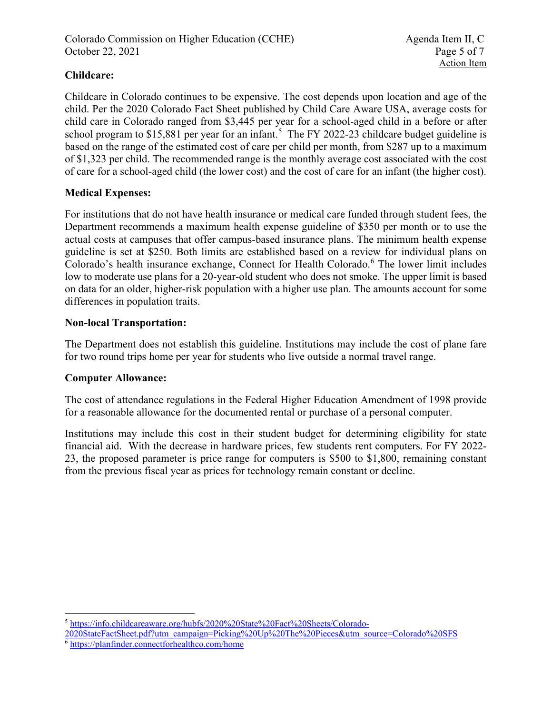# **Childcare:**

Childcare in Colorado continues to be expensive. The cost depends upon location and age of the child. Per the 2020 Colorado Fact Sheet published by Child Care Aware USA, average costs for child care in Colorado ranged from \$3,445 per year for a school-aged child in a before or after school program to \$1[5](#page-4-0),881 per year for an infant.<sup>5</sup> The FY 2022-23 childcare budget guideline is based on the range of the estimated cost of care per child per month, from \$287 up to a maximum of \$1,323 per child. The recommended range is the monthly average cost associated with the cost of care for a school-aged child (the lower cost) and the cost of care for an infant (the higher cost).

## **Medical Expenses:**

For institutions that do not have health insurance or medical care funded through student fees, the Department recommends a maximum health expense guideline of \$350 per month or to use the actual costs at campuses that offer campus-based insurance plans. The minimum health expense guideline is set at \$250. Both limits are established based on a review for individual plans on Colorado's health insurance exchange, Connect for Health Colorado.<sup>[6](#page-4-1)</sup> The lower limit includes low to moderate use plans for a 20-year-old student who does not smoke. The upper limit is based on data for an older, higher-risk population with a higher use plan. The amounts account for some differences in population traits.

#### **Non-local Transportation:**

The Department does not establish this guideline. Institutions may include the cost of plane fare for two round trips home per year for students who live outside a normal travel range.

#### **Computer Allowance:**

The cost of attendance regulations in the Federal Higher Education Amendment of 1998 provide for a reasonable allowance for the documented rental or purchase of a personal computer.

Institutions may include this cost in their student budget for determining eligibility for state financial aid. With the decrease in hardware prices, few students rent computers. For FY 2022- 23, the proposed parameter is price range for computers is \$500 to \$1,800, remaining constant from the previous fiscal year as prices for technology remain constant or decline.

<span id="page-4-0"></span><sup>5</sup> [https://info.childcareaware.org/hubfs/2020%20State%20Fact%20Sheets/Colorado-](https://info.childcareaware.org/hubfs/2020%20State%20Fact%20Sheets/Colorado-2020StateFactSheet.pdf?utm_campaign=Picking%20Up%20The%20Pieces&utm_source=Colorado%20SFS)

[<sup>2020</sup>StateFactSheet.pdf?utm\\_campaign=Picking%20Up%20The%20Pieces&utm\\_source=Colorado%20SFS](https://info.childcareaware.org/hubfs/2020%20State%20Fact%20Sheets/Colorado-2020StateFactSheet.pdf?utm_campaign=Picking%20Up%20The%20Pieces&utm_source=Colorado%20SFS)

<span id="page-4-1"></span><sup>6</sup> <https://planfinder.connectforhealthco.com/home>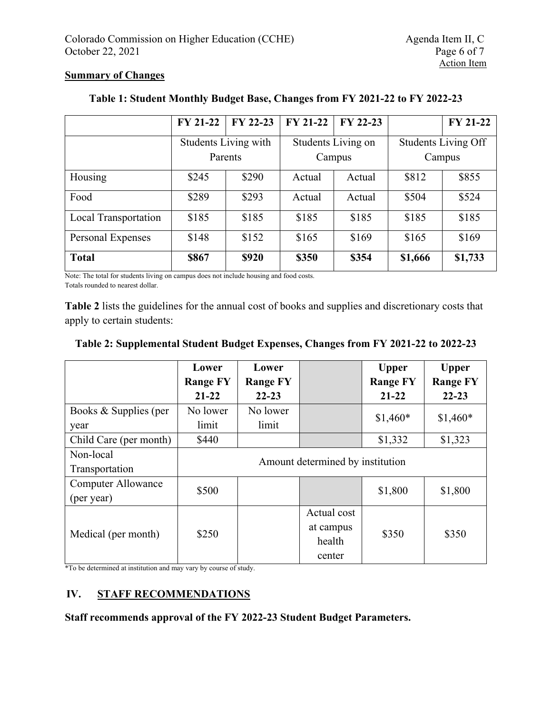#### **Summary of Changes**

|                      | <b>FY 21-22</b>             | FY 22-23 | <b>FY 21-22</b>    | FY 22-23 |                            | <b>FY 21-22</b> |
|----------------------|-----------------------------|----------|--------------------|----------|----------------------------|-----------------|
|                      | <b>Students Living with</b> |          | Students Living on |          | <b>Students Living Off</b> |                 |
|                      |                             | Parents  | Campus             |          | Campus                     |                 |
| Housing              | \$245                       | \$290    | Actual             | Actual   | \$812                      | \$855           |
| Food                 | \$289                       | \$293    | Actual             | Actual   | \$504                      | \$524           |
| Local Transportation | \$185                       | \$185    | \$185              | \$185    | \$185                      | \$185           |
| Personal Expenses    | \$148                       | \$152    | \$165              | \$169    | \$165                      | \$169           |
| <b>Total</b>         | \$867                       | \$920    | \$350              | \$354    | \$1,666                    | \$1,733         |

# **Table 1: Student Monthly Budget Base, Changes from FY 2021-22 to FY 2022-23**

Note: The total for students living on campus does not include housing and food costs.

Totals rounded to nearest dollar.

**Table 2** lists the guidelines for the annual cost of books and supplies and discretionary costs that apply to certain students:

# **Table 2: Supplemental Student Budget Expenses, Changes from FY 2021-22 to 2022-23**

|                           | Lower                            | Lower           |             | <b>Upper</b>    | <b>Upper</b>    |  |
|---------------------------|----------------------------------|-----------------|-------------|-----------------|-----------------|--|
|                           | <b>Range FY</b>                  | <b>Range FY</b> |             | <b>Range FY</b> | <b>Range FY</b> |  |
|                           | $21 - 22$                        | $22 - 23$       |             | $21 - 22$       | $22 - 23$       |  |
| Books & Supplies (per     | No lower                         | No lower        |             | $$1,460*$       | $$1,460*$       |  |
| year                      | limit                            | limit           |             |                 |                 |  |
| Child Care (per month)    | \$440                            |                 |             | \$1,332         | \$1,323         |  |
| Non-local                 |                                  |                 |             |                 |                 |  |
| Transportation            | Amount determined by institution |                 |             |                 |                 |  |
| <b>Computer Allowance</b> | \$500                            |                 |             | \$1,800         | \$1,800         |  |
| (per year)                |                                  |                 |             |                 |                 |  |
| Medical (per month)       |                                  |                 | Actual cost |                 |                 |  |
|                           | \$250                            |                 | at campus   | \$350           | \$350           |  |
|                           |                                  |                 | health      |                 |                 |  |
|                           |                                  |                 | center      |                 |                 |  |

\*To be determined at institution and may vary by course of study.

# **IV. STAFF RECOMMENDATIONS**

**Staff recommends approval of the FY 2022-23 Student Budget Parameters.**